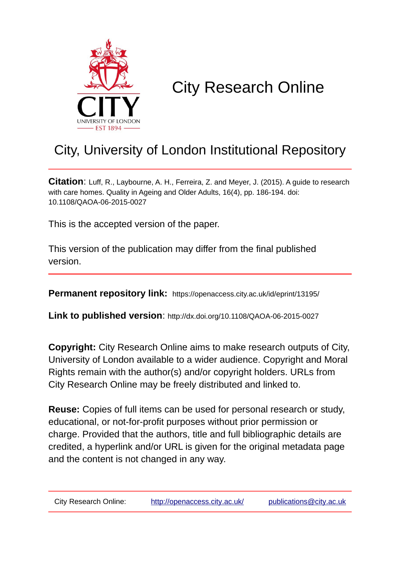

# City Research Online

### City, University of London Institutional Repository

**Citation**: Luff, R., Laybourne, A. H., Ferreira, Z. and Meyer, J. (2015). A guide to research with care homes. Quality in Ageing and Older Adults, 16(4), pp. 186-194. doi: 10.1108/QAOA-06-2015-0027

This is the accepted version of the paper.

This version of the publication may differ from the final published version.

**Permanent repository link:** https://openaccess.city.ac.uk/id/eprint/13195/

**Link to published version**: http://dx.doi.org/10.1108/QAOA-06-2015-0027

**Copyright:** City Research Online aims to make research outputs of City, University of London available to a wider audience. Copyright and Moral Rights remain with the author(s) and/or copyright holders. URLs from City Research Online may be freely distributed and linked to.

**Reuse:** Copies of full items can be used for personal research or study, educational, or not-for-profit purposes without prior permission or charge. Provided that the authors, title and full bibliographic details are credited, a hyperlink and/or URL is given for the original metadata page and the content is not changed in any way.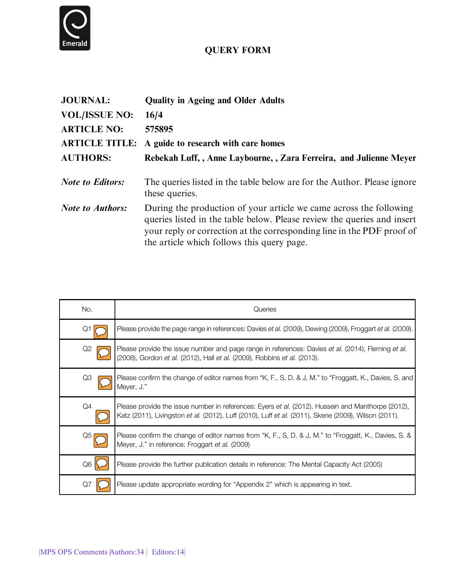

### QUERY FORM

| <b>JOURNAL:</b>         | <b>Quality in Ageing and Older Adults</b>                                                                                                                                                                                                                             |
|-------------------------|-----------------------------------------------------------------------------------------------------------------------------------------------------------------------------------------------------------------------------------------------------------------------|
| <b>VOL/ISSUE NO:</b>    | 16/4                                                                                                                                                                                                                                                                  |
| <b>ARTICLE NO:</b>      | 575895                                                                                                                                                                                                                                                                |
| <b>ARTICLE TITLE:</b>   | A guide to research with care homes                                                                                                                                                                                                                                   |
| <b>AUTHORS:</b>         | Rebekah Luff,, Anne Laybourne, , Zara Ferreira, and Julienne Meyer                                                                                                                                                                                                    |
| <b>Note to Editors:</b> | The queries listed in the table below are for the Author. Please ignore<br>these queries.                                                                                                                                                                             |
| <b>Note to Authors:</b> | During the production of your article we came across the following<br>queries listed in the table below. Please review the queries and insert<br>your reply or correction at the corresponding line in the PDF proof of<br>the article which follows this query page. |

| No. | Queries                                                                                                                                                                                                   |
|-----|-----------------------------------------------------------------------------------------------------------------------------------------------------------------------------------------------------------|
| Q1  | Please provide the page range in references: Davies et al. (2009), Dewing (2009), Froggart et al. (2009).                                                                                                 |
| Q2  | Please provide the issue number and page range in references: Davies et al. (2014), Fleming et al.<br>(2008), Gordon et al. (2012), Hall et al. (2009), Robbins et al. (2013).                            |
| Q3  | Please confirm the change of editor names from "K, F., S, D. & J, M." to "Froggatt, K., Davies, S. and<br>Meyer, J."                                                                                      |
| Q4  | Please provide the issue number in references: Eyers et al. (2012), Hussein and Manthorpe (2012),<br>Katz (2011), Livingston et al. (2012), Luff (2010), Luff et al. (2011), Skene (2009), Wilson (2011). |
| Q5  | Please confirm the change of editor names from "K, F., S, D. & J, M." to "Froggatt, K., Davies, S. &<br>Meyer, J." in reference: Froggart et al. (2009)                                                   |
| Q6  | Please provide the further publication details in reference: The Mental Capacity Act (2005)                                                                                                               |
| Q7  | Please update appropriate wording for "Appendix 2" which is appearing in text.                                                                                                                            |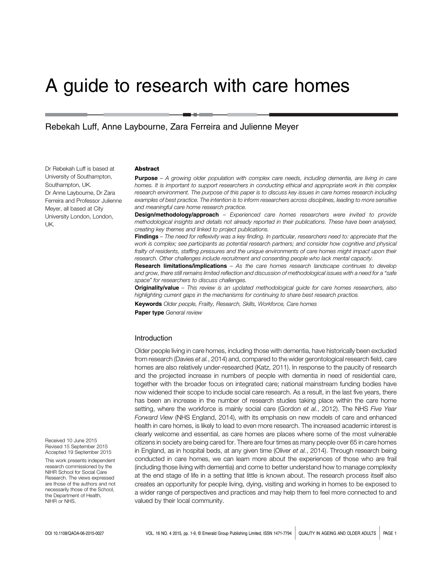## A guide to research with care homes

Rebekah Luff, Anne Laybourne, Zara Ferreira and Julienne Meyer

Dr Rebekah Luff is based at University of Southampton, Southampton, UK. Dr Anne Laybourne, Dr Zara Ferreira and Professor Julienne Meyer, all based at City University London, London, UK.

#### **Abstract**

**Purpose** – A growing older population with complex care needs, including dementia, are living in care homes. It is important to support researchers in conducting ethical and appropriate work in this complex research environment. The purpose of this paper is to discuss key issues in care homes research including examples of best practice. The intention is to inform researchers across disciplines, leading to more sensitive and meaningful care home research practice.

**Design/methodology/approach** – Experienced care homes researchers were invited to provide methodological insights and details not already reported in their publications. These have been analysed, creating key themes and linked to project publications.

Findings - The need for reflexivity was a key finding. In particular, researchers need to: appreciate that the work is complex; see participants as potential research partners; and consider how cognitive and physical frailty of residents, staffing pressures and the unique environments of care homes might impact upon their research. Other challenges include recruitment and consenting people who lack mental capacity.

**Research limitations/implications**  $-$  As the care homes research landscape continues to develop and grow, there still remains limited reflection and discussion of methodological issues with a need for a "safe space" for researchers to discuss challenges.

**Originality/value** – This review is an updated methodological quide for care homes researchers, also highlighting current gaps in the mechanisms for continuing to share best research practice.

Keywords Older people, Frailty, Research, Skills, Workforce, Care homes

Paper type General review

#### Introduction

Older people living in care homes, including those with dementia, have historically been excluded from research (Davies et al., 2014) and, compared to the wider gerontological research field, care homes are also relatively under-researched (Katz, 2011). In response to the paucity of research and the projected increase in numbers of people with dementia in need of residential care, together with the broader focus on integrated care; national mainstream funding bodies have now widened their scope to include social care research. As a result, in the last five years, there has been an increase in the number of research studies taking place within the care home setting, where the workforce is mainly social care (Gordon et al., 2012). The NHS Five Year Forward View (NHS England, 2014), with its emphasis on new models of care and enhanced health in care homes, is likely to lead to even more research. The increased academic interest is clearly welcome and essential, as care homes are places where some of the most vulnerable citizens in society are being cared for. There are four times as many people over 65 in care homes in England, as in hospital beds, at any given time (Oliver et al., 2014). Through research being conducted in care homes, we can learn more about the experiences of those who are frail (including those living with dementia) and come to better understand how to manage complexity at the end stage of life in a setting that little is known about. The research process itself also creates an opportunity for people living, dying, visiting and working in homes to be exposed to a wider range of perspectives and practices and may help them to feel more connected to and valued by their local community.

Received 10 June 2015 Revised 15 September 2015 Accepted 19 September 2015

This work presents independent research commissioned by the NIHR School for Social Care Research. The views expressed are those of the authors and not necessarily those of the School, the Department of Health, NIHR or NHS.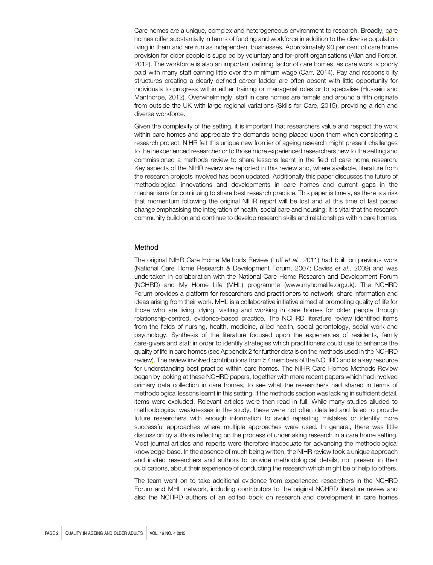Care homes are a unique, complex and heterogeneous environment to research. Broadly, care homes differ substantially in terms of funding and workforce in addition to the diverse population living in them and are run as independent businesses. Approximately 90 per cent of care home provision for older people is supplied by voluntary and for-profit organisations (Allan and Forder, 2012). The workforce is also an important defining factor of care homes, as care work is poorly paid with many staff earning little over the minimum wage (Carr, 2014). Pay and responsibility structures creating a clearly defined career ladder are often absent with little opportunity for individuals to progress within either training or managerial roles or to specialise (Hussein and Manthorpe, 2012). Overwhelmingly, staff in care homes are female and around a fifth originate from outside the UK with large regional variations (Skills for Care, 2015), providing a rich and diverse workforce.

Given the complexity of the setting, it is important that researchers value and respect the work within care homes and appreciate the demands being placed upon them when considering a research project. NIHR felt this unique new frontier of ageing research might present challenges to the inexperienced researcher or to those more experienced researchers new to the setting and commissioned a methods review to share lessons learnt in the field of care home research. Key aspects of the NIHR review are reported in this review and, where available, literature from the research projects involved has been updated. Additionally this paper discusses the future of methodological innovations and developments in care homes and current gaps in the mechanisms for continuing to share best research practice. This paper is timely, as there is a risk that momentum following the original NIHR report will be lost and at this time of fast paced change emphasising the integration of health, social care and housing; it is vital that the research community build on and continue to develop research skills and relationships within care homes.

#### Method

The original NIHR Care Home Methods Review (Luff et al., 2011) had built on previous work (National Care Home Research & Development Forum, 2007; Davies et al., 2009) and was undertaken in collaboration with the National Care Home Research and Development Forum (NCHRD) and My Home Life (MHL) programme [\(www.myhomelife.org.uk](www.myhomelife.org.uk)). The NCHRD Forum provides a platform for researchers and practitioners to network, share information and ideas arising from their work. MHL is a collaborative initiative aimed at promoting quality of life for those who are living, dying, visiting and working in care homes for older people through relationship-centred, evidence-based practice. The NCHRD literature review identified items from the fields of nursing, health, medicine, allied health, social gerontology, social work and psychology. Synthesis of the literature focused upon the experiences of residents, family care-givers and staff in order to identify strategies which practitioners could use to enhance the quality of life in care homes (see Appendix 2 for further details on the methods used in the NCHRD review). The review involved contributions from 57 members of the NCHRD and is a key resource for understanding best practice within care homes. The NIHR Care Homes Methods Review began by looking at these NCHRD papers, together with more recent papers which had involved primary data collection in care homes, to see what the researchers had shared in terms of methodological lessons learnt in this setting. If the methods section was lacking in sufficient detail, items were excluded. Relevant articles were then read in full. While many studies alluded to methodological weaknesses in the study, these were not often detailed and failed to provide future researchers with enough information to avoid repeating mistakes or identify more successful approaches where multiple approaches were used. In general, there was little discussion by authors reflecting on the process of undertaking research in a care home setting. Most journal articles and reports were therefore inadequate for advancing the methodological knowledge-base. In the absence of much being written, the NIHR review took a unique approach and invited researchers and authors to provide methodological details, not present in their publications, about their experience of conducting the research which might be of help to others.

The team went on to take additional evidence from experienced researchers in the NCHRD Forum and MHL network, including contributors to the original NCHRD literature review and also the NCHRD authors of an edited book on research and development in care homes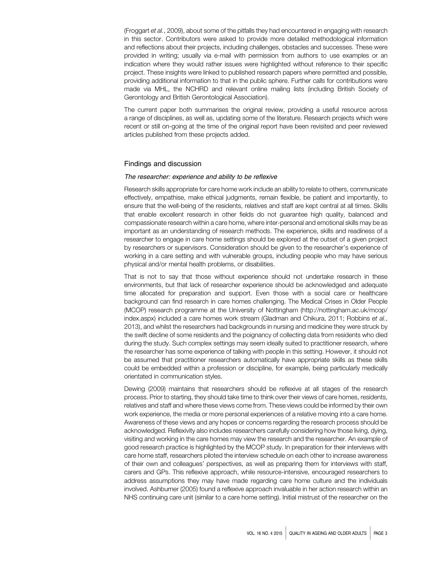(Froggart et al., 2009), about some of the pitfalls they had encountered in engaging with research in this sector. Contributors were asked to provide more detailed methodological information and reflections about their projects, including challenges, obstacles and successes. These were provided in writing; usually via e-mail with permission from authors to use examples or an indication where they would rather issues were highlighted without reference to their specific project. These insights were linked to published research papers where permitted and possible, providing additional information to that in the public sphere. Further calls for contributions were made via MHL, the NCHRD and relevant online mailing lists (including British Society of Gerontology and British Gerontological Association).

The current paper both summarises the original review, providing a useful resource across a range of disciplines, as well as, updating some of the literature. Research projects which were recent or still on-going at the time of the original report have been revisited and peer reviewed articles published from these projects added.

#### Findings and discussion

#### The researcher: experience and ability to be reflexive

Research skills appropriate for care home work include an ability to relate to others, communicate effectively, empathise, make ethical judgments, remain flexible, be patient and importantly, to ensure that the well-being of the residents, relatives and staff are kept central at all times. Skills that enable excellent research in other fields do not guarantee high quality, balanced and compassionate research within a care home, where inter-personal and emotional skills may be as important as an understanding of research methods. The experience, skills and readiness of a researcher to engage in care home settings should be explored at the outset of a given project by researchers or supervisors. Consideration should be given to the researcher's experience of working in a care setting and with vulnerable groups, including people who may have serious physical and/or mental health problems, or disabilities.

That is not to say that those without experience should not undertake research in these environments, but that lack of researcher experience should be acknowledged and adequate time allocated for preparation and support. Even those with a social care or healthcare background can find research in care homes challenging. The Medical Crises in Older People (MCOP) research programme at the University of Nottingham ([http://nottingham.ac.uk/mcop/](http://nottingham.ac.uk/mcop/index.aspx) [index.aspx\)](http://nottingham.ac.uk/mcop/index.aspx) included a care homes work stream (Gladman and Chikura, 2011; Robbins et al., 2013), and whilst the researchers had backgrounds in nursing and medicine they were struck by the swift decline of some residents and the poignancy of collecting data from residents who died during the study. Such complex settings may seem ideally suited to practitioner research, where the researcher has some experience of talking with people in this setting. However, it should not be assumed that practitioner researchers automatically have appropriate skills as these skills could be embedded within a profession or discipline, for example, being particularly medically orientated in communication styles.

Dewing (2009) maintains that researchers should be reflexive at all stages of the research process. Prior to starting, they should take time to think over their views of care homes, residents, relatives and staff and where these views come from. These views could be informed by their own work experience, the media or more personal experiences of a relative moving into a care home. Awareness of these views and any hopes or concerns regarding the research process should be acknowledged. Reflexivity also includes researchers carefully considering how those living, dying, visiting and working in the care homes may view the research and the researcher. An example of good research practice is highlighted by the MCOP study. In preparation for their interviews with care home staff, researchers piloted the interview schedule on each other to increase awareness of their own and colleagues' perspectives, as well as preparing them for interviews with staff, carers and GPs. This reflexive approach, while resource-intensive, encouraged researchers to address assumptions they may have made regarding care home culture and the individuals involved. Ashburner (2005) found a reflexive approach invaluable in her action research within an NHS continuing care unit (similar to a care home setting). Initial mistrust of the researcher on the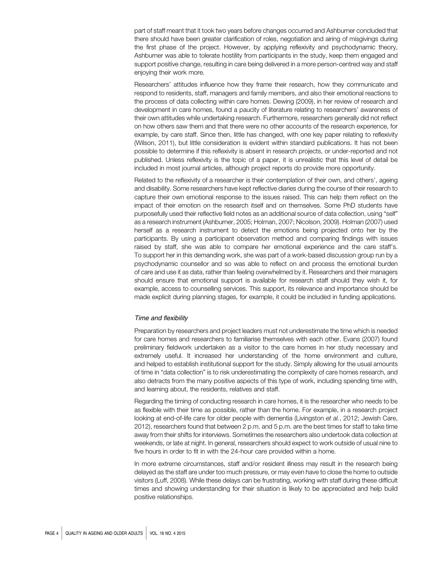part of staff meant that it took two years before changes occurred and Ashburner concluded that there should have been greater clarification of roles, negotiation and airing of misgivings during the first phase of the project. However, by applying reflexivity and psychodynamic theory, Ashburner was able to tolerate hostility from participants in the study, keep them engaged and support positive change, resulting in care being delivered in a more person-centred way and staff enjoying their work more.

Researchers' attitudes influence how they frame their research, how they communicate and respond to residents, staff, managers and family members, and also their emotional reactions to the process of data collecting within care homes. Dewing (2009), in her review of research and development in care homes, found a paucity of literature relating to researchers' awareness of their own attitudes while undertaking research. Furthermore, researchers generally did not reflect on how others saw them and that there were no other accounts of the research experience, for example, by care staff. Since then, little has changed, with one key paper relating to reflexivity (Wilson, 2011), but little consideration is evident within standard publications. It has not been possible to determine if this reflexivity is absent in research projects, or under-reported and not published. Unless reflexivity is the topic of a paper, it is unrealistic that this level of detail be included in most journal articles, although project reports do provide more opportunity.

Related to the reflexivity of a researcher is their contemplation of their own, and others', ageing and disability. Some researchers have kept reflective diaries during the course of their research to capture their own emotional response to the issues raised. This can help them reflect on the impact of their emotion on the research itself and on themselves. Some PhD students have purposefully used their reflective field notes as an additional source of data collection, using "self" as a research instrument (Ashburner, 2005; Holman, 2007; Nicolson, 2009). Holman (2007) used herself as a research instrument to detect the emotions being projected onto her by the participants. By using a participant observation method and comparing findings with issues raised by staff, she was able to compare her emotional experience and the care staff's. To support her in this demanding work, she was part of a work-based discussion group run by a psychodynamic counsellor and so was able to reflect on and process the emotional burden of care and use it as data, rather than feeling overwhelmed by it. Researchers and their managers should ensure that emotional support is available for research staff should they wish it, for example, access to counselling services. This support, its relevance and importance should be made explicit during planning stages, for example, it could be included in funding applications.

#### Time and flexibility

Preparation by researchers and project leaders must not underestimate the time which is needed for care homes and researchers to familiarise themselves with each other. Evans (2007) found preliminary fieldwork undertaken as a visitor to the care homes in her study necessary and extremely useful. It increased her understanding of the home environment and culture, and helped to establish institutional support for the study. Simply allowing for the usual amounts of time in "data collection" is to risk underestimating the complexity of care homes research, and also detracts from the many positive aspects of this type of work, including spending time with, and learning about, the residents, relatives and staff.

Regarding the timing of conducting research in care homes, it is the researcher who needs to be as flexible with their time as possible, rather than the home. For example, in a research project looking at end-of-life care for older people with dementia (Livingston et al., 2012; Jewish Care, 2012), researchers found that between 2 p.m. and 5 p.m. are the best times for staff to take time away from their shifts for interviews. Sometimes the researchers also undertook data collection at weekends, or late at night. In general, researchers should expect to work outside of usual nine to five hours in order to fit in with the 24-hour care provided within a home.

In more extreme circumstances, staff and/or resident illness may result in the research being delayed as the staff are under too much pressure, or may even have to close the home to outside visitors (Luff, 2008). While these delays can be frustrating, working with staff during these difficult times and showing understanding for their situation is likely to be appreciated and help build positive relationships.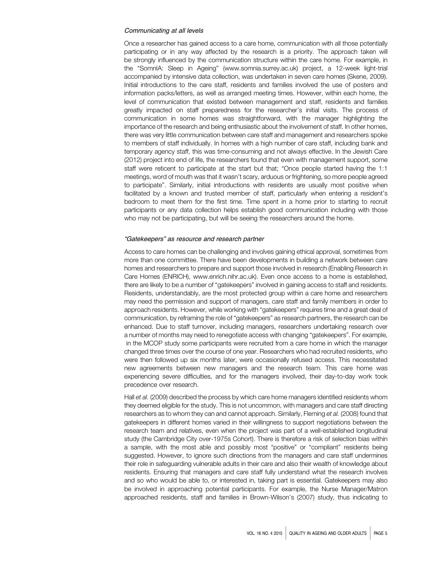#### Communicating at all levels

Once a researcher has gained access to a care home, communication with all those potentially participating or in any way affected by the research is a priority. The approach taken will be strongly influenced by the communication structure within the care home. For example, in the "SomnIA: Sleep in Ageing" ([www.somnia.surrey.ac.uk\)](www.somnia.surrey.ac.uk) project, a 12-week light-trial accompanied by intensive data collection, was undertaken in seven care homes (Skene, 2009). Initial introductions to the care staff, residents and families involved the use of posters and information packs/letters, as well as arranged meeting times. However, within each home, the level of communication that existed between management and staff, residents and families greatly impacted on staff preparedness for the researcher's initial visits. The process of communication in some homes was straightforward, with the manager highlighting the importance of the research and being enthusiastic about the involvement of staff. In other homes, there was very little communication between care staff and management and researchers spoke to members of staff individually. In homes with a high number of care staff, including bank and temporary agency staff, this was time-consuming and not always effective. In the Jewish Care (2012) project into end of life, the researchers found that even with management support, some staff were reticent to participate at the start but that; "Once people started having the 1:1 meetings, word of mouth was that it wasn't scary, arduous or frightening, so more people agreed to participate". Similarly, initial introductions with residents are usually most positive when facilitated by a known and trusted member of staff, particularly when entering a resident's bedroom to meet them for the first time. Time spent in a home prior to starting to recruit participants or any data collection helps establish good communication including with those who may not be participating, but will be seeing the researchers around the home.

#### "Gatekeepers" as resource and research partner

Access to care homes can be challenging and involves gaining ethical approval, sometimes from more than one committee. There have been developments in building a network between care homes and researchers to prepare and support those involved in research (Enabling Research in Care Homes (ENRICH), [www.enrich.nihr.ac.uk\)](www.enrich.nihr.ac.uk). Even once access to a home is established, there are likely to be a number of "gatekeepers" involved in gaining access to staff and residents. Residents, understandably, are the most protected group within a care home and researchers may need the permission and support of managers, care staff and family members in order to approach residents. However, while working with "gatekeepers" requires time and a great deal of communication, by reframing the role of "gatekeepers" as research partners, the research can be enhanced. Due to staff turnover, including managers, researchers undertaking research over a number of months may need to renegotiate access with changing "gatekeepers". For example, in the MCOP study some participants were recruited from a care home in which the manager changed three times over the course of one year. Researchers who had recruited residents, who were then followed up six months later, were occasionally refused access. This necessitated new agreements between new managers and the research team. This care home was experiencing severe difficulties, and for the managers involved, their day-to-day work took precedence over research.

Hall et al. (2009) described the process by which care home managers identified residents whom they deemed eligible for the study. This is not uncommon, with managers and care staff directing researchers as to whom they can and cannot approach. Similarly, Fleming et al. (2008) found that gatekeepers in different homes varied in their willingness to support negotiations between the research team and relatives, even when the project was part of a well-established longitudinal study (the Cambridge City over-1975s Cohort). There is therefore a risk of selection bias within a sample, with the most able and possibly most "positive" or "compliant" residents being suggested. However, to ignore such directions from the managers and care staff undermines their role in safeguarding vulnerable adults in their care and also their wealth of knowledge about residents. Ensuring that managers and care staff fully understand what the research involves and so who would be able to, or interested in, taking part is essential. Gatekeepers may also be involved in approaching potential participants. For example, the Nurse Manager/Matron approached residents, staff and families in Brown-Wilson's (2007) study, thus indicating to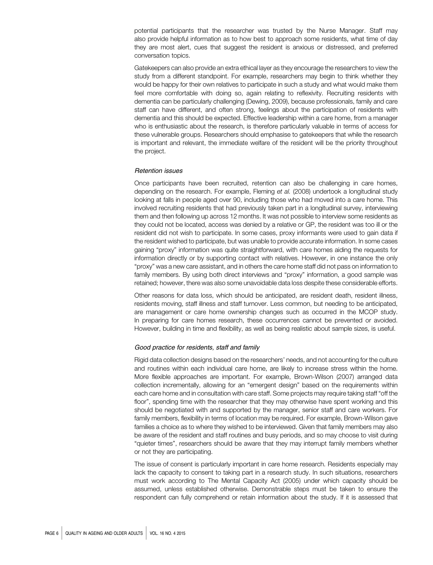potential participants that the researcher was trusted by the Nurse Manager. Staff may also provide helpful information as to how best to approach some residents, what time of day they are most alert, cues that suggest the resident is anxious or distressed, and preferred conversation topics.

Gatekeepers can also provide an extra ethical layer as they encourage the researchers to view the study from a different standpoint. For example, researchers may begin to think whether they would be happy for their own relatives to participate in such a study and what would make them feel more comfortable with doing so, again relating to reflexivity. Recruiting residents with dementia can be particularly challenging (Dewing, 2009), because professionals, family and care staff can have different, and often strong, feelings about the participation of residents with dementia and this should be expected. Effective leadership within a care home, from a manager who is enthusiastic about the research, is therefore particularly valuable in terms of access for these vulnerable groups. Researchers should emphasise to gatekeepers that while the research is important and relevant, the immediate welfare of the resident will be the priority throughout the project.

#### Retention issues

Once participants have been recruited, retention can also be challenging in care homes, depending on the research. For example, Fleming et al. (2008) undertook a longitudinal study looking at falls in people aged over 90, including those who had moved into a care home. This involved recruiting residents that had previously taken part in a longitudinal survey, interviewing them and then following up across 12 months. It was not possible to interview some residents as they could not be located, access was denied by a relative or GP, the resident was too ill or the resident did not wish to participate. In some cases, proxy informants were used to gain data if the resident wished to participate, but was unable to provide accurate information. In some cases gaining "proxy" information was quite straightforward, with care homes aiding the requests for information directly or by supporting contact with relatives. However, in one instance the only "proxy" was a new care assistant, and in others the care home staff did not pass on information to family members. By using both direct interviews and "proxy" information, a good sample was retained; however, there was also some unavoidable data loss despite these considerable efforts.

Other reasons for data loss, which should be anticipated, are resident death, resident illness, residents moving, staff illness and staff turnover. Less common, but needing to be anticipated, are management or care home ownership changes such as occurred in the MCOP study. In preparing for care homes research, these occurrences cannot be prevented or avoided. However, building in time and flexibility, as well as being realistic about sample sizes, is useful.

#### Good practice for residents, staff and family

Rigid data collection designs based on the researchers' needs, and not accounting for the culture and routines within each individual care home, are likely to increase stress within the home. More flexible approaches are important. For example, Brown-Wilson (2007) arranged data collection incrementally, allowing for an "emergent design" based on the requirements within each care home and in consultation with care staff. Some projects may require taking staff "off the floor", spending time with the researcher that they may otherwise have spent working and this should be negotiated with and supported by the manager, senior staff and care workers. For family members, flexibility in terms of location may be required. For example, Brown-Wilson gave families a choice as to where they wished to be interviewed. Given that family members may also be aware of the resident and staff routines and busy periods, and so may choose to visit during "quieter times", researchers should be aware that they may interrupt family members whether or not they are participating.

The issue of consent is particularly important in care home research. Residents especially may lack the capacity to consent to taking part in a research study. In such situations, researchers must work according to The Mental Capacity Act (2005) under which capacity should be assumed, unless established otherwise. Demonstrable steps must be taken to ensure the respondent can fully comprehend or retain information about the study. If it is assessed that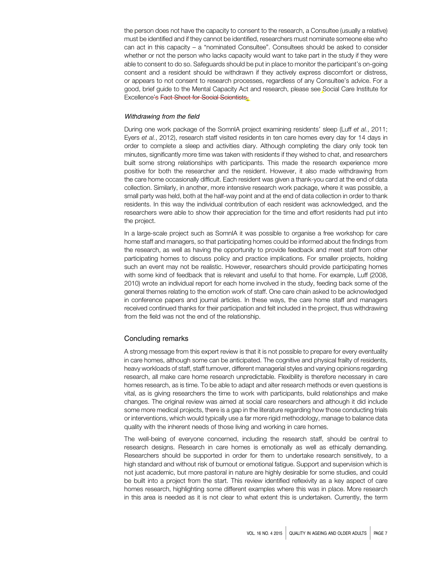the person does not have the capacity to consent to the research, a Consultee (usually a relative) must be identified and if they cannot be identified, researchers must nominate someone else who can act in this capacity – a "nominated Consultee". Consultees should be asked to consider whether or not the person who lacks capacity would want to take part in the study if they were able to consent to do so. Safeguards should be put in place to monitor the participant's on-going consent and a resident should be withdrawn if they actively express discomfort or distress, or appears to not consent to research processes, regardless of any Consultee's advice. For a good, brief guide to the Mental Capacity Act and research, please see Social Care Institute for Excellence's Fact Sheet for Social Scientists.

#### Withdrawing from the field

During one work package of the SomnIA project examining residents' sleep (Luff et al., 2011; Eyers et al., 2012), research staff visited residents in ten care homes every day for 14 days in order to complete a sleep and activities diary. Although completing the diary only took ten minutes, significantly more time was taken with residents if they wished to chat, and researchers built some strong relationships with participants. This made the research experience more positive for both the researcher and the resident. However, it also made withdrawing from the care home occasionally difficult. Each resident was given a thank-you card at the end of data collection. Similarly, in another, more intensive research work package, where it was possible, a small party was held, both at the half-way point and at the end of data collection in order to thank residents. In this way the individual contribution of each resident was acknowledged, and the researchers were able to show their appreciation for the time and effort residents had put into the project.

In a large-scale project such as SomnIA it was possible to organise a free workshop for care home staff and managers, so that participating homes could be informed about the findings from the research, as well as having the opportunity to provide feedback and meet staff from other participating homes to discuss policy and practice implications. For smaller projects, holding such an event may not be realistic. However, researchers should provide participating homes with some kind of feedback that is relevant and useful to that home. For example, Luff (2008, 2010) wrote an individual report for each home involved in the study, feeding back some of the general themes relating to the emotion work of staff. One care chain asked to be acknowledged in conference papers and journal articles. In these ways, the care home staff and managers received continued thanks for their participation and felt included in the project, thus withdrawing from the field was not the end of the relationship.

#### Concluding remarks

A strong message from this expert review is that it is not possible to prepare for every eventuality in care homes, although some can be anticipated. The cognitive and physical frailty of residents, heavy workloads of staff, staff turnover, different managerial styles and varying opinions regarding research, all make care home research unpredictable. Flexibility is therefore necessary in care homes research, as is time. To be able to adapt and alter research methods or even questions is vital, as is giving researchers the time to work with participants, build relationships and make changes. The original review was aimed at social care researchers and although it did include some more medical projects, there is a gap in the literature regarding how those conducting trials or interventions, which would typically use a far more rigid methodology, manage to balance data quality with the inherent needs of those living and working in care homes.

The well-being of everyone concerned, including the research staff, should be central to research designs. Research in care homes is emotionally as well as ethically demanding. Researchers should be supported in order for them to undertake research sensitively, to a high standard and without risk of burnout or emotional fatigue. Support and supervision which is not just academic, but more pastoral in nature are highly desirable for some studies, and could be built into a project from the start. This review identified reflexivity as a key aspect of care homes research, highlighting some different examples where this was in place. More research in this area is needed as it is not clear to what extent this is undertaken. Currently, the term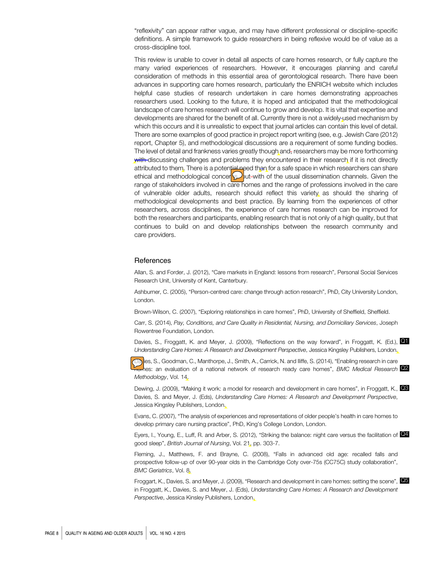"reflexivity" can appear rather vague, and may have different professional or discipline-specific definitions. A simple framework to guide researchers in being reflexive would be of value as a cross-discipline tool.

This review is unable to cover in detail all aspects of care homes research, or fully capture the many varied experiences of researchers. However, it encourages planning and careful consideration of methods in this essential area of gerontological research. There have been advances in supporting care homes research, particularly the ENRICH website which includes helpful case studies of research undertaken in care homes demonstrating approaches researchers used. Looking to the future, it is hoped and anticipated that the methodological landscape of care homes research will continue to grow and develop. It is vital that expertise and developments are shared for the benefit of all. Currently there is not a widely used mechanism by which this occurs and it is unrealistic to expect that journal articles can contain this level of detail. There are some examples of good practice in project report writing (see, e.g. Jewish Care (2012) report, Chapter 5), and methodological discussions are a requirement of some funding bodies. The level of detail and frankness varies greatly though and, researchers may be more forthcoming with discussing challenges and problems they encountered in their research if it is not directly attributed to them. There is a potential need than for a safe space in which researchers can share ethical and methodological concers, but-with of the usual dissemination channels. Given the range of stakeholders involved in care homes and the range of professions involved in the care of vulnerable older adults, research should reflect this variety as should the sharing of methodological developments and best practice. By learning from the experiences of other researchers, across disciplines, the experience of care homes research can be improved for both the researchers and participants, enabling research that is not only of a high quality, but that continues to build on and develop relationships between the research community and care providers.

#### **References**

Allan, S. and Forder, J. (2012), "Care markets in England: lessons from research", Personal Social Services Research Unit, University of Kent, Canterbury.

Ashburner, C. (2005), "Person-centred care: change through action research", PhD, City University London, London.

Brown-Wilson, C. (2007), "Exploring relationships in care homes", PhD, University of Sheffield, Sheffield.

Carr, S. (2014), Pay, Conditions, and Care Quality in Residential, Nursing, and Domiciliary Services, Joseph Rowentree Foundation, London.

Davies, S., Froggatt, K. and Meyer, J. (2009), "Reflections on the way forward", in Froggatt, K. (Ed.), Q1 Understanding Care Homes: A Research and Development Perspective, Jessica Kingsley Publishers, London.

lies, S., Goodman, C., Manthorpe, J., Smith, A., Carrick, N. and Iliffe, S. (2014), "Enabling research in care hes: an evaluation of a national network of research ready care homes", BMC Medical Research Q2 Methodology, Vol. 14.

Dewing, J. (2009), "Making it work: a model for research and development in care homes", in Froggatt, K., <sup>03</sup> Davies, S. and Meyer, J. (Eds), Understanding Care Homes: A Research and Development Perspective, Jessica Kingsley Publishers, London.

Evans, C. (2007), "The analysis of experiences and representations of older people's health in care homes to develop primary care nursing practice", PhD, King's College London, London.

Eyers, I., Young, E., Luff, R. and Arber, S. (2012), "Striking the balance: night care versus the facilitation of Q4 good sleep", British Journal of Nursing, Vol. 21, pp. 303-7.

Fleming, J., Matthews, F. and Brayne, C. (2008), "Falls in advanced old age: recalled falls and prospective follow-up of over 90-year olds in the Cambridge Coty over-75s (CC75C) study collaboration", BMC Geriatrics, Vol. 8.

Froggart, K., Davies, S. and Meyer, J. (2009), "Research and development in care homes: setting the scene", Q5 in Froggatt, K., Davies, S. and Meyer, J. (Eds), Understanding Care Homes: A Research and Development Perspective, Jessica Kinsley Publishers, London.